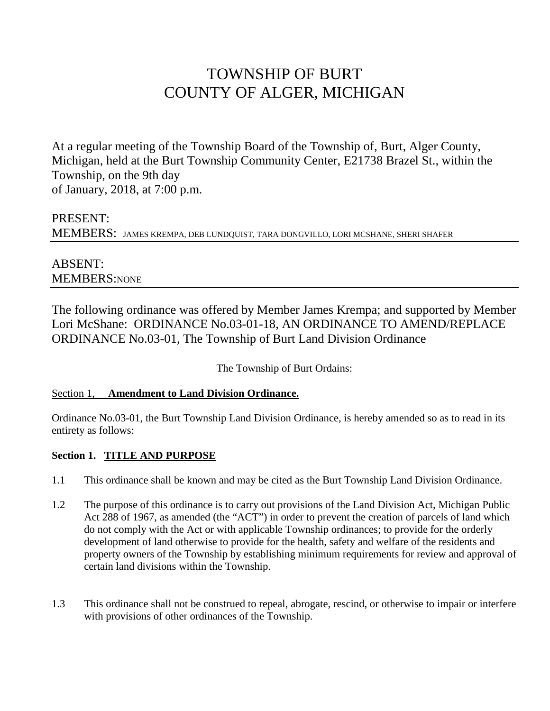# TOWNSHIP OF BURT COUNTY OF ALGER, MICHIGAN

At a regular meeting of the Township Board of the Township of, Burt, Alger County, Michigan, held at the Burt Township Community Center, E21738 Brazel St., within the Township, on the 9th day of January, 2018, at 7:00 p.m.

# PRESENT: MEMBERS: JAMES KREMPA, DEB LUNDQUIST, TARA DONGVILLO, LORI MCSHANE, SHERI SHAFER

# ABSENT: MEMBERS:NONE

The following ordinance was offered by Member James Krempa; and supported by Member Lori McShane: ORDINANCE No.03-01-18, AN ORDINANCE TO AMEND/REPLACE ORDINANCE No.03-01, The Township of Burt Land Division Ordinance

The Township of Burt Ordains:

#### Section 1, **Amendment to Land Division Ordinance.**

Ordinance No.03-01, the Burt Township Land Division Ordinance, is hereby amended so as to read in its entirety as follows:

## **Section 1. TITLE AND PURPOSE**

- 1.1 This ordinance shall be known and may be cited as the Burt Township Land Division Ordinance.
- 1.2 The purpose of this ordinance is to carry out provisions of the Land Division Act, Michigan Public Act 288 of 1967, as amended (the "ACT") in order to prevent the creation of parcels of land which do not comply with the Act or with applicable Township ordinances; to provide for the orderly development of land otherwise to provide for the health, safety and welfare of the residents and property owners of the Township by establishing minimum requirements for review and approval of certain land divisions within the Township.
- 1.3 This ordinance shall not be construed to repeal, abrogate, rescind, or otherwise to impair or interfere with provisions of other ordinances of the Township.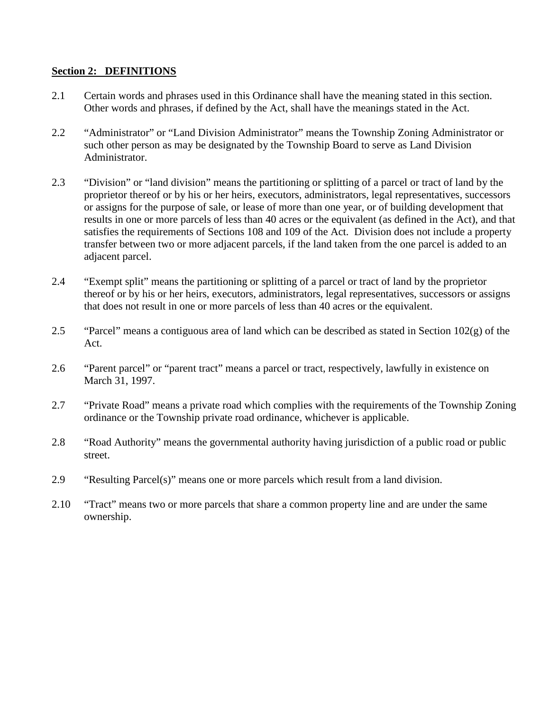#### **Section 2: DEFINITIONS**

- 2.1 Certain words and phrases used in this Ordinance shall have the meaning stated in this section. Other words and phrases, if defined by the Act, shall have the meanings stated in the Act.
- 2.2 "Administrator" or "Land Division Administrator" means the Township Zoning Administrator or such other person as may be designated by the Township Board to serve as Land Division Administrator.
- 2.3 "Division" or "land division" means the partitioning or splitting of a parcel or tract of land by the proprietor thereof or by his or her heirs, executors, administrators, legal representatives, successors or assigns for the purpose of sale, or lease of more than one year, or of building development that results in one or more parcels of less than 40 acres or the equivalent (as defined in the Act), and that satisfies the requirements of Sections 108 and 109 of the Act. Division does not include a property transfer between two or more adjacent parcels, if the land taken from the one parcel is added to an adjacent parcel.
- 2.4 "Exempt split" means the partitioning or splitting of a parcel or tract of land by the proprietor thereof or by his or her heirs, executors, administrators, legal representatives, successors or assigns that does not result in one or more parcels of less than 40 acres or the equivalent.
- 2.5 "Parcel" means a contiguous area of land which can be described as stated in Section 102(g) of the Act.
- 2.6 "Parent parcel" or "parent tract" means a parcel or tract, respectively, lawfully in existence on March 31, 1997.
- 2.7 "Private Road" means a private road which complies with the requirements of the Township Zoning ordinance or the Township private road ordinance, whichever is applicable.
- 2.8 "Road Authority" means the governmental authority having jurisdiction of a public road or public street.
- 2.9 "Resulting Parcel(s)" means one or more parcels which result from a land division.
- 2.10 "Tract" means two or more parcels that share a common property line and are under the same ownership.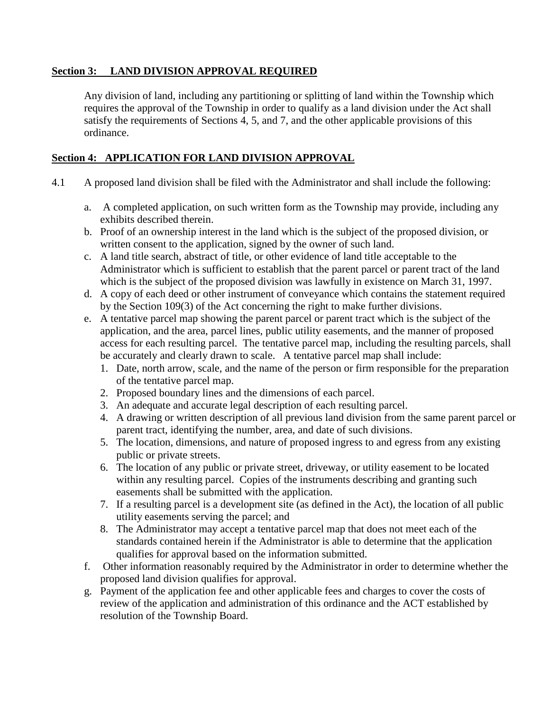#### **Section 3: LAND DIVISION APPROVAL REQUIRED**

Any division of land, including any partitioning or splitting of land within the Township which requires the approval of the Township in order to qualify as a land division under the Act shall satisfy the requirements of Sections 4, 5, and 7, and the other applicable provisions of this ordinance.

#### **Section 4: APPLICATION FOR LAND DIVISION APPROVAL**

- 4.1 A proposed land division shall be filed with the Administrator and shall include the following:
	- a. A completed application, on such written form as the Township may provide, including any exhibits described therein.
	- b. Proof of an ownership interest in the land which is the subject of the proposed division, or written consent to the application, signed by the owner of such land.
	- c. A land title search, abstract of title, or other evidence of land title acceptable to the Administrator which is sufficient to establish that the parent parcel or parent tract of the land which is the subject of the proposed division was lawfully in existence on March 31, 1997.
	- d. A copy of each deed or other instrument of conveyance which contains the statement required by the Section 109(3) of the Act concerning the right to make further divisions.
	- e. A tentative parcel map showing the parent parcel or parent tract which is the subject of the application, and the area, parcel lines, public utility easements, and the manner of proposed access for each resulting parcel. The tentative parcel map, including the resulting parcels, shall be accurately and clearly drawn to scale. A tentative parcel map shall include:
		- 1. Date, north arrow, scale, and the name of the person or firm responsible for the preparation of the tentative parcel map.
		- 2. Proposed boundary lines and the dimensions of each parcel.
		- 3. An adequate and accurate legal description of each resulting parcel.
		- 4. A drawing or written description of all previous land division from the same parent parcel or parent tract, identifying the number, area, and date of such divisions.
		- 5. The location, dimensions, and nature of proposed ingress to and egress from any existing public or private streets.
		- 6. The location of any public or private street, driveway, or utility easement to be located within any resulting parcel. Copies of the instruments describing and granting such easements shall be submitted with the application.
		- 7. If a resulting parcel is a development site (as defined in the Act), the location of all public utility easements serving the parcel; and
		- 8. The Administrator may accept a tentative parcel map that does not meet each of the standards contained herein if the Administrator is able to determine that the application qualifies for approval based on the information submitted.
	- f. Other information reasonably required by the Administrator in order to determine whether the proposed land division qualifies for approval.
	- g. Payment of the application fee and other applicable fees and charges to cover the costs of review of the application and administration of this ordinance and the ACT established by resolution of the Township Board.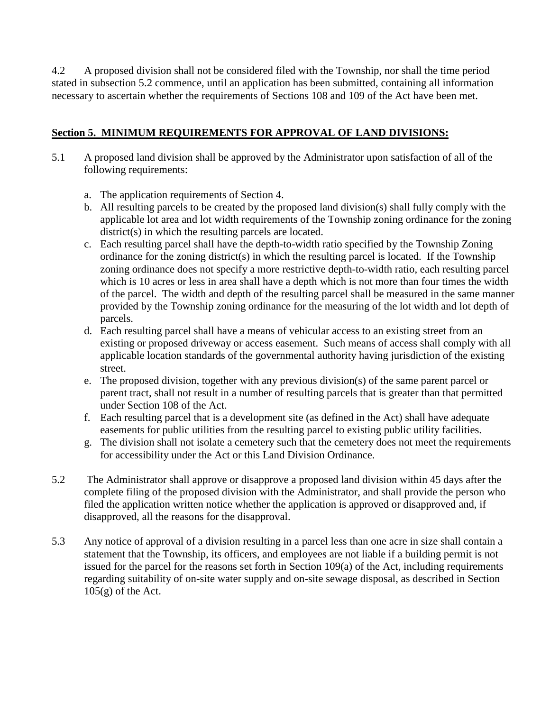4.2 A proposed division shall not be considered filed with the Township, nor shall the time period stated in subsection 5.2 commence, until an application has been submitted, containing all information necessary to ascertain whether the requirements of Sections 108 and 109 of the Act have been met.

## **Section 5. MINIMUM REQUIREMENTS FOR APPROVAL OF LAND DIVISIONS:**

- 5.1 A proposed land division shall be approved by the Administrator upon satisfaction of all of the following requirements:
	- a. The application requirements of Section 4.
	- b. All resulting parcels to be created by the proposed land division(s) shall fully comply with the applicable lot area and lot width requirements of the Township zoning ordinance for the zoning district(s) in which the resulting parcels are located.
	- c. Each resulting parcel shall have the depth-to-width ratio specified by the Township Zoning ordinance for the zoning district(s) in which the resulting parcel is located. If the Township zoning ordinance does not specify a more restrictive depth-to-width ratio, each resulting parcel which is 10 acres or less in area shall have a depth which is not more than four times the width of the parcel. The width and depth of the resulting parcel shall be measured in the same manner provided by the Township zoning ordinance for the measuring of the lot width and lot depth of parcels.
	- d. Each resulting parcel shall have a means of vehicular access to an existing street from an existing or proposed driveway or access easement. Such means of access shall comply with all applicable location standards of the governmental authority having jurisdiction of the existing street.
	- e. The proposed division, together with any previous division(s) of the same parent parcel or parent tract, shall not result in a number of resulting parcels that is greater than that permitted under Section 108 of the Act.
	- f. Each resulting parcel that is a development site (as defined in the Act) shall have adequate easements for public utilities from the resulting parcel to existing public utility facilities.
	- g. The division shall not isolate a cemetery such that the cemetery does not meet the requirements for accessibility under the Act or this Land Division Ordinance.
- 5.2 The Administrator shall approve or disapprove a proposed land division within 45 days after the complete filing of the proposed division with the Administrator, and shall provide the person who filed the application written notice whether the application is approved or disapproved and, if disapproved, all the reasons for the disapproval.
- 5.3 Any notice of approval of a division resulting in a parcel less than one acre in size shall contain a statement that the Township, its officers, and employees are not liable if a building permit is not issued for the parcel for the reasons set forth in Section 109(a) of the Act, including requirements regarding suitability of on-site water supply and on-site sewage disposal, as described in Section  $105(g)$  of the Act.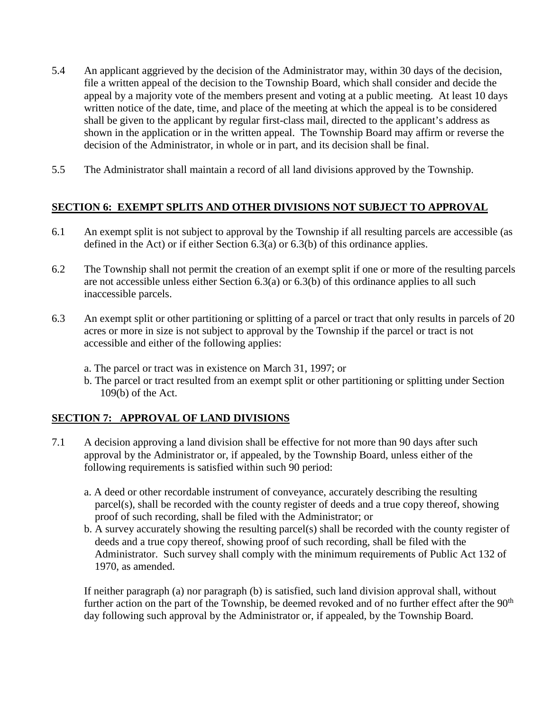- 5.4 An applicant aggrieved by the decision of the Administrator may, within 30 days of the decision, file a written appeal of the decision to the Township Board, which shall consider and decide the appeal by a majority vote of the members present and voting at a public meeting. At least 10 days written notice of the date, time, and place of the meeting at which the appeal is to be considered shall be given to the applicant by regular first-class mail, directed to the applicant's address as shown in the application or in the written appeal. The Township Board may affirm or reverse the decision of the Administrator, in whole or in part, and its decision shall be final.
- 5.5 The Administrator shall maintain a record of all land divisions approved by the Township.

#### **SECTION 6: EXEMPT SPLITS AND OTHER DIVISIONS NOT SUBJECT TO APPROVAL**

- 6.1 An exempt split is not subject to approval by the Township if all resulting parcels are accessible (as defined in the Act) or if either Section 6.3(a) or 6.3(b) of this ordinance applies.
- 6.2 The Township shall not permit the creation of an exempt split if one or more of the resulting parcels are not accessible unless either Section 6.3(a) or 6.3(b) of this ordinance applies to all such inaccessible parcels.
- 6.3 An exempt split or other partitioning or splitting of a parcel or tract that only results in parcels of 20 acres or more in size is not subject to approval by the Township if the parcel or tract is not accessible and either of the following applies:
	- a. The parcel or tract was in existence on March 31, 1997; or
	- b. The parcel or tract resulted from an exempt split or other partitioning or splitting under Section 109(b) of the Act.

## **SECTION 7: APPROVAL OF LAND DIVISIONS**

- 7.1 A decision approving a land division shall be effective for not more than 90 days after such approval by the Administrator or, if appealed, by the Township Board, unless either of the following requirements is satisfied within such 90 period:
	- a. A deed or other recordable instrument of conveyance, accurately describing the resulting parcel(s), shall be recorded with the county register of deeds and a true copy thereof, showing proof of such recording, shall be filed with the Administrator; or
	- b. A survey accurately showing the resulting parcel(s) shall be recorded with the county register of deeds and a true copy thereof, showing proof of such recording, shall be filed with the Administrator. Such survey shall comply with the minimum requirements of Public Act 132 of 1970, as amended.

If neither paragraph (a) nor paragraph (b) is satisfied, such land division approval shall, without further action on the part of the Township, be deemed revoked and of no further effect after the 90<sup>th</sup> day following such approval by the Administrator or, if appealed, by the Township Board.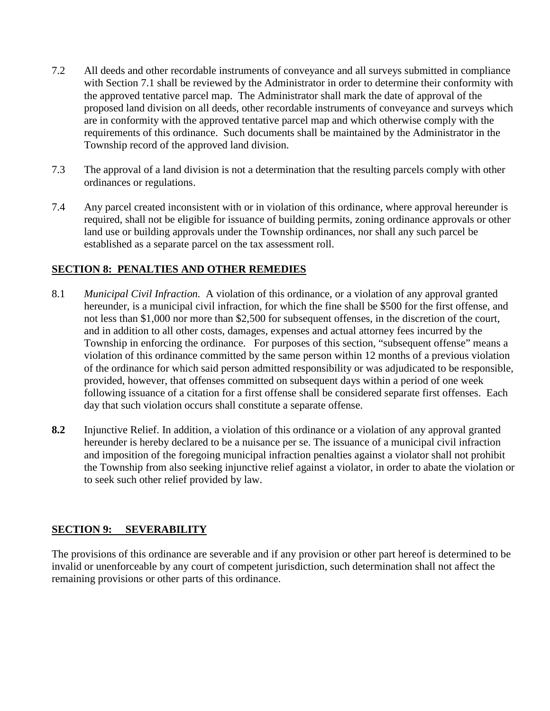- 7.2 All deeds and other recordable instruments of conveyance and all surveys submitted in compliance with Section 7.1 shall be reviewed by the Administrator in order to determine their conformity with the approved tentative parcel map. The Administrator shall mark the date of approval of the proposed land division on all deeds, other recordable instruments of conveyance and surveys which are in conformity with the approved tentative parcel map and which otherwise comply with the requirements of this ordinance. Such documents shall be maintained by the Administrator in the Township record of the approved land division.
- 7.3 The approval of a land division is not a determination that the resulting parcels comply with other ordinances or regulations.
- 7.4 Any parcel created inconsistent with or in violation of this ordinance, where approval hereunder is required, shall not be eligible for issuance of building permits, zoning ordinance approvals or other land use or building approvals under the Township ordinances, nor shall any such parcel be established as a separate parcel on the tax assessment roll.

## **SECTION 8: PENALTIES AND OTHER REMEDIES**

- 8.1 *Municipal Civil Infraction.* A violation of this ordinance, or a violation of any approval granted hereunder, is a municipal civil infraction, for which the fine shall be \$500 for the first offense, and not less than \$1,000 nor more than \$2,500 for subsequent offenses, in the discretion of the court, and in addition to all other costs, damages, expenses and actual attorney fees incurred by the Township in enforcing the ordinance. For purposes of this section, "subsequent offense" means a violation of this ordinance committed by the same person within 12 months of a previous violation of the ordinance for which said person admitted responsibility or was adjudicated to be responsible, provided, however, that offenses committed on subsequent days within a period of one week following issuance of a citation for a first offense shall be considered separate first offenses. Each day that such violation occurs shall constitute a separate offense.
- **8.2** Injunctive Relief. In addition, a violation of this ordinance or a violation of any approval granted hereunder is hereby declared to be a nuisance per se. The issuance of a municipal civil infraction and imposition of the foregoing municipal infraction penalties against a violator shall not prohibit the Township from also seeking injunctive relief against a violator, in order to abate the violation or to seek such other relief provided by law.

#### **SECTION 9: SEVERABILITY**

The provisions of this ordinance are severable and if any provision or other part hereof is determined to be invalid or unenforceable by any court of competent jurisdiction, such determination shall not affect the remaining provisions or other parts of this ordinance.